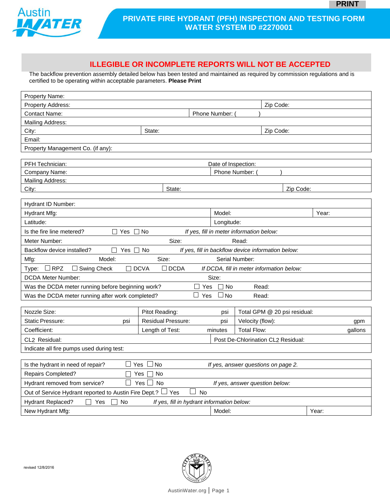

## **PRIVATE FIRE HYDRANT (PFH) INSPECTION AND TESTING FORM WATER SYSTEM ID #2270001**

## **ILLEGIBLE OR INCOMPLETE REPORTS WILL NOT BE ACCEPTED**

The backflow prevention assembly detailed below has been tested and maintained as required by commission regulations and is certified to be operating within acceptable parameters. **Please Print**

| Property Name:                                                                                                          |                                                                     |                                            |                              |                                                                           |  |  |  |  |  |  |  |
|-------------------------------------------------------------------------------------------------------------------------|---------------------------------------------------------------------|--------------------------------------------|------------------------------|---------------------------------------------------------------------------|--|--|--|--|--|--|--|
| Property Address:                                                                                                       |                                                                     | Zip Code:                                  |                              |                                                                           |  |  |  |  |  |  |  |
| <b>Contact Name:</b>                                                                                                    | Phone Number:                                                       |                                            |                              |                                                                           |  |  |  |  |  |  |  |
| Mailing Address:                                                                                                        |                                                                     |                                            |                              |                                                                           |  |  |  |  |  |  |  |
| City:                                                                                                                   | State:                                                              |                                            |                              |                                                                           |  |  |  |  |  |  |  |
| Email:                                                                                                                  |                                                                     |                                            |                              |                                                                           |  |  |  |  |  |  |  |
| Property Management Co. (if any):                                                                                       |                                                                     |                                            |                              |                                                                           |  |  |  |  |  |  |  |
|                                                                                                                         |                                                                     |                                            |                              |                                                                           |  |  |  |  |  |  |  |
| PFH Technician:<br>Date of Inspection:                                                                                  |                                                                     |                                            |                              |                                                                           |  |  |  |  |  |  |  |
| Company Name:<br>Phone Number:                                                                                          |                                                                     |                                            |                              |                                                                           |  |  |  |  |  |  |  |
| Mailing Address:<br>Zip Code:                                                                                           |                                                                     |                                            |                              |                                                                           |  |  |  |  |  |  |  |
| City:                                                                                                                   | State:                                                              |                                            |                              |                                                                           |  |  |  |  |  |  |  |
| Hydrant ID Number:                                                                                                      |                                                                     |                                            |                              |                                                                           |  |  |  |  |  |  |  |
| Hydrant Mfg:                                                                                                            |                                                                     | Model:                                     |                              | Year:                                                                     |  |  |  |  |  |  |  |
| Latitude:                                                                                                               | Longitude:                                                          |                                            |                              |                                                                           |  |  |  |  |  |  |  |
| Is the fire line metered?<br>No<br>If yes, fill in meter information below:<br>Yes                                      |                                                                     |                                            |                              |                                                                           |  |  |  |  |  |  |  |
| Size:<br>Meter Number:<br>Read:                                                                                         |                                                                     |                                            |                              |                                                                           |  |  |  |  |  |  |  |
| Backflow device installed?                                                                                              | If yes, fill in backflow device information below:<br>Yes $\Box$ No |                                            |                              |                                                                           |  |  |  |  |  |  |  |
| Mfg:<br>Model:                                                                                                          | Size:<br>Serial Number:                                             |                                            |                              |                                                                           |  |  |  |  |  |  |  |
| $\Box$ RPZ<br>$\Box$ Swing Check<br>$\Box$ DCVA<br>$\square$ DCDA<br>If DCDA, fill in meter information below:<br>Type: |                                                                     |                                            |                              |                                                                           |  |  |  |  |  |  |  |
| Size:<br><b>DCDA Meter Number:</b>                                                                                      |                                                                     |                                            |                              |                                                                           |  |  |  |  |  |  |  |
| Was the DCDA meter running before beginning work?<br>Yes<br>$\Box$ No<br>Read:                                          |                                                                     |                                            |                              |                                                                           |  |  |  |  |  |  |  |
| $\Box$<br>$\square$ No<br>Yes<br>Was the DCDA meter running after work completed?<br>Read:                              |                                                                     |                                            |                              |                                                                           |  |  |  |  |  |  |  |
|                                                                                                                         |                                                                     |                                            |                              |                                                                           |  |  |  |  |  |  |  |
| Nozzle Size:                                                                                                            | Pitot Reading:                                                      | psi                                        | Total GPM @ 20 psi residual: |                                                                           |  |  |  |  |  |  |  |
| <b>Static Pressure:</b><br>psi                                                                                          | <b>Residual Pressure:</b>                                           | psi                                        | Velocity (flow):             | gpm                                                                       |  |  |  |  |  |  |  |
| Coefficient:                                                                                                            | Length of Test:                                                     | minutes                                    | Total Flow:                  | gallons                                                                   |  |  |  |  |  |  |  |
| CL2 Residual:<br>Post De-Chlorination CL2 Residual:                                                                     |                                                                     |                                            |                              |                                                                           |  |  |  |  |  |  |  |
| Indicate all fire pumps used during test:                                                                               |                                                                     |                                            |                              |                                                                           |  |  |  |  |  |  |  |
|                                                                                                                         |                                                                     |                                            |                              |                                                                           |  |  |  |  |  |  |  |
| Yes<br>No<br>Is the hydrant in need of repair?<br>If yes, answer questions on page 2.                                   |                                                                     |                                            |                              |                                                                           |  |  |  |  |  |  |  |
| Repairs Completed?<br>No<br>Yes                                                                                         |                                                                     |                                            |                              |                                                                           |  |  |  |  |  |  |  |
| Hydrant removed from service?<br>Yes<br>No<br>If yes, answer question below:                                            |                                                                     |                                            |                              |                                                                           |  |  |  |  |  |  |  |
|                                                                                                                         |                                                                     |                                            |                              | <b>No</b><br>Out of Service Hydrant reported to Austin Fire Dept.?<br>Yes |  |  |  |  |  |  |  |
|                                                                                                                         |                                                                     |                                            |                              |                                                                           |  |  |  |  |  |  |  |
| Hydrant Replaced?<br>No<br><b>I</b><br>Yes                                                                              |                                                                     | If yes, fill in hydrant information below: |                              |                                                                           |  |  |  |  |  |  |  |